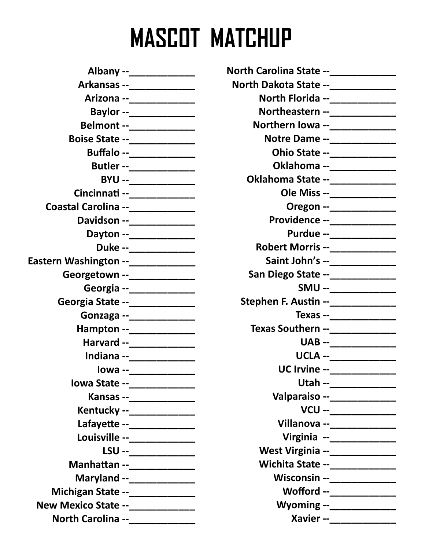## MASCOT MATCHUP

| Albany --_____________              |
|-------------------------------------|
| Arkansas --______________           |
| Arizona --_____________             |
| Baylor --_____________              |
| Belmont --____________              |
| <b>Boise State --______________</b> |
| Buffalo --____________              |
| Butler --_____________              |
| BYU --______________                |
| Cincinnati --______________         |
| Coastal Carolina --____________     |
| Davidson --______________           |
| Dayton --_______________            |
| Duke --_____________                |
| Eastern Washington --_____________  |
| Georgetown --______________         |
| Georgia --_____________             |
| Georgia State --_____________       |
| Gonzaga --_______________           |
| Hampton --______________            |
| Harvard --_____________             |
| Indiana --_____________             |
| lowa --_____________                |
| lowa State --_____________          |
| Kansas --______________             |
| Kentucky --______________           |
| Lafayette --______________          |
| Louisville --_____________          |
| LSU --_____________                 |
| Manhattan --_______________         |
| Maryland --______________           |
| Michigan State --_____________      |
| New Mexico State --_____________    |
| North Carolina --_____________      |

| North Carolina State --_____________ |                                                           |
|--------------------------------------|-----------------------------------------------------------|
|                                      |                                                           |
| North Dakota State --______________  |                                                           |
|                                      | North Florida --______________                            |
|                                      | Northeastern --______________                             |
|                                      | Northern lowa --______________                            |
|                                      | Notre Dame --______________                               |
|                                      | Ohio State --_______________<br>Oklahoma --______________ |
| Oklahoma State --_____________       |                                                           |
|                                      |                                                           |
|                                      | Ole Miss --_____________                                  |
|                                      | Oregon --_____________                                    |
|                                      | Providence --______________                               |
|                                      | Purdue --_____________<br>Robert Morris --______________  |
|                                      | Saint John's --______________                             |
|                                      | San Diego State --_____________                           |
|                                      | SMU --____________                                        |
| Stephen F. Austin --____________     |                                                           |
|                                      | Texas --_______________                                   |
|                                      | Texas Southern --____________                             |
|                                      | UAB --_____________                                       |
|                                      | UCLA --______________                                     |
|                                      | UC Irvine --______________                                |
|                                      | Utah --_____________                                      |
|                                      | Valparaiso --______________                               |
|                                      | VCU --____________                                        |
|                                      | Villanova --_____________                                 |
|                                      | Virginia --____________                                   |
|                                      | West Virginia --______________                            |
|                                      | Wichita State --______________                            |
|                                      | <b>Wisconsin --</b> ______________                        |
|                                      | Wofford --____________                                    |
|                                      | Wyoming --_____________                                   |
|                                      | Xavier --_____________                                    |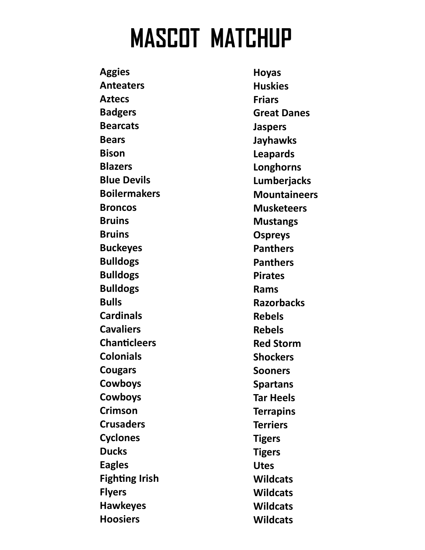## MASCOT MATCHUP

**Aggies** Anteaters Aztecs Badgers Bearcats Bears Bison **Blazers** Blue Devils Boilermakers **Broncos Bruins Bruins** Buckeyes Bulldogs Bulldogs Bulldogs Bulls **Cardinals Cavaliers** Chanticleers Colonials Cougars Cowboys Cowboys Crimson **Crusaders Cyclones Ducks** Eagles **Fighting Irish** Flyers Hawkeyes Hoosiers

Hoyas **Huskies** Friars Great Danes Jaspers Jayhawks Leapards Longhorns Lumberjacks **Mountaineers Musketeers** Mustangs Ospreys **Panthers Panthers** Pirates Rams **Razorbacks** Rebels Rebels Red Storm **Shockers** Sooners Spartans Tar Heels **Terrapins Terriers Tigers Tigers** Utes **Wildcats Wildcats Wildcats Wildcats**